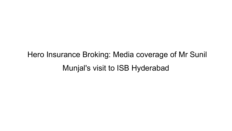Hero Insurance Broking: Media coverage of Mr Sunil Munjal's visit to ISB Hyderabad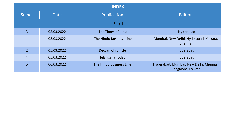| <b>INDEX</b>   |             |                         |                                                              |  |  |  |  |
|----------------|-------------|-------------------------|--------------------------------------------------------------|--|--|--|--|
| Sr. no.        | <b>Date</b> | Publication             | Edition                                                      |  |  |  |  |
| <b>Print</b>   |             |                         |                                                              |  |  |  |  |
| 3              | 05.03.2022  | The Times of India      | Hyderabad                                                    |  |  |  |  |
| 1              | 05.03.2022  | The Hindu Business Line | Mumbai, New Delhi, Hyderabad, Kolkata,<br>Chennai            |  |  |  |  |
| $\overline{2}$ | 05.03.2022  | <b>Deccan Chronicle</b> | Hyderabad                                                    |  |  |  |  |
| $\overline{4}$ | 05.03.2022  | Telangana Today         | Hyderabad                                                    |  |  |  |  |
| 5              | 06.03.2022  | The Hindu Business Line | Hyderabad, Mumbai, New Delhi, Chennai,<br>Bangalore, Kolkata |  |  |  |  |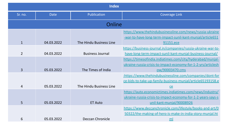| <b>Index</b>   |             |                         |                                                               |  |  |  |
|----------------|-------------|-------------------------|---------------------------------------------------------------|--|--|--|
| Sr. no.        | <b>Date</b> | Publication             | <b>Coverage Link</b>                                          |  |  |  |
| Online         |             |                         |                                                               |  |  |  |
|                |             |                         | https://www.thehindubusinessline.com/news/russia-ukraine      |  |  |  |
|                |             |                         | -war-to-have-long-term-impact-sunil-kant-munjal/article651    |  |  |  |
| $\mathbf{1}$   | 04.03.2022  | The Hindu Business Line | 91151.ece                                                     |  |  |  |
|                |             |                         | https://business-journal.in/companies/russia-ukraine-war-to-  |  |  |  |
| $\overline{2}$ | 04.03.2022  | <b>Business Journal</b> | have-long-term-impact-sunil-kant-munjal-business-journal/     |  |  |  |
|                |             |                         | https://timesofindia.indiatimes.com/city/hyderabad/munjal-    |  |  |  |
|                |             |                         | ukraine-russia-crisis-to-impact-economy-for-1-2-yrs/articlesh |  |  |  |
| 3              | 05.03.2022  | The Times of India      | <u>ow/90003470.cms</u>                                        |  |  |  |
|                |             |                         | :https://www.thehindubusinessline.com/companies/dont-for      |  |  |  |
|                |             |                         | ce-kids-to-take-up-family-business-munjal/article65193158.e   |  |  |  |
| 4              | 05.03.2022  | The Hindu Business Line | ce                                                            |  |  |  |
|                |             |                         | https://auto.economictimes.indiatimes.com/news/industry/      |  |  |  |
|                |             |                         | ukraine-russia-crisis-to-impact-economy-for-1-2-years-says-s  |  |  |  |
| 5              | 05.03.2022  | <b>ET Auto</b>          | unil-kant-munjal/90008926                                     |  |  |  |
|                |             |                         | https://www.deccanchronicle.com/lifestyle/books-and-art/0     |  |  |  |
|                |             |                         | 50322/the-making-of-hero-is-make-in-india-story-munjal.ht     |  |  |  |
| 6              | 05.03.2022  | Deccan Chronicle        | ml                                                            |  |  |  |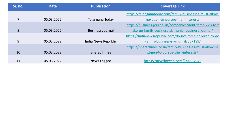| Sr. no. | <b>Date</b> | <b>Publication</b>      | <b>Coverage Link</b>                                       |
|---------|-------------|-------------------------|------------------------------------------------------------|
|         |             |                         | https://telanganatoday.com/family-businesses-must-allow-   |
|         | 05.03.2022  | Telangana Today         | next-gen-to-pursue-their-interests                         |
|         |             |                         | https://business-journal.in/companies/dont-force-kids-to-t |
| 8       | 05.03.2022  | <b>Business Journal</b> | ake-up-family-business-sk-munjal-business-journal/         |
|         |             |                         | https://indianewsrepublic.com/do-not-force-children-to-do  |
| 9       | 05.03.2022  | India News Republic     | -family-business-sk-munjal/657189/                         |
|         |             |                         | https://bharattimes.co.in/family-businesses-must-allow-ne  |
| 10      | 05.03.2022  | <b>Bharat Times</b>     | xt-gen-to-pursue-their-interests/                          |
| 11      | 05.03.2022  | News Logged             | https://newslogged.com/?p=837942                           |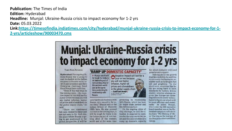**Publication: The Times of India Edition: Hyderabad Headline:** Munial: Ukraine-Russia crisis to impact economy for 1-2 yrs Date: 05.03.2022

Link:https://timesofindia.indiatimes.com/city/hyderabad/munjal-ukraine-russia-crisis-to-impact-economy-for-1-2-yrs/articleshow/90003470.cms

# **Munjal: Ukraine-Russia crisis** to impact economy for 1-2 yrs

**TIMES NEWS NETWORK** 

Hyderabad: The ongoing Ukraine-Russia war is going to cast its shadow on the Indian economy in the near-term, said CII past president and Hero Enterprise chairman Sunil Kant Munjal here on Friday.

"Even if this war stops in the coming week... the negative impact of this will last for a year or two because you will see higher inflation, higher oil prices and a breakdown in the global supply chain," he said.

"There are continuous fall outs related to these and are not easy to fix. And also, the place where Russia is going to get positioned in the global perspective, it will be

### 'RAMP UP DOMESTIC CAPACITY'

> Munial said it will be tough for India to do balancing act of not running afoul of the western world and at the same time protecting its relationship with **Russia** 

very hard to do business with Russia very smoothly for some time," Munjal said at the Indian School of Business (ISB) here. He also pointed out that in the coming days, it will be tough for India to do the balancing act of not running afoul of the western world and at the same time

with Russia, which has been its major trade partner and key defence partner.

On the ongoing crisis of chip shortage, he said the situation is expected to continue for the next one to two years and the only solution is to ramp up domestic capacity,

for which industry will need government support.

Talking about the growth in green mobility, he said there are many technologies avallable such as hydrogen fuel cell and graphene. "In the short term, countries like India are trying hard to have standards for battery driven electric vehicles whereas regions like Europe are investing billions in newer technologies to figure out which will be more efficient and sustainable," he added. Munjal, who is also the ISB executive board member, was at the Hyderabad campus to talk about his book 'The Making of Hero' that traces the journey of the Munjal brothers and Hero Group.

Negative impact will last for a<br>year or two because vou will see higher inflation, higher oil prices and a breakdown in the global supply chain - Sunil Kant Munjal | CII PAST PRESIDENT AND HERD. *DITERPRISE CHAIRMAN* protecting its relationship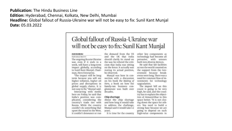# **Publication: The Hindu Business Line** Edition: Hyderabad, Chennai, Kolkata, New Delhi, Mumbai Headline: Global fallout of Russia-Ukraine war will not be easy to fix: Sunil Kant Munial Date: 05.03.2022

# Global fallout of Russia-Ukraine war will not be easy to fix: Sunil Kant Munjal

#### **OUR BUREAU**

Hyderabad, March 4 The ongoing Russia-Ukraine war, even if it ends in a week, will have a long-term impact globally, according to Sunil Kant Munial, Chairman, Hero Enterprise.

"The impact will be long term because you will see higher inflation, higher oil prices and disruptions in global supply chains. It is not easy to fix," Munjal said. Interacting with media

here on Friday, he said that India's position was complicated, considering the country's trade ties with Russia. While the country couldn't do something that upset the mood in the West, it couldn't denounce or run

the demand from the US and the UK that India should clarify its stand on the war, he refuted the criticism that India was sitting on the fence. It actually was stating its actual position, he observed.

Munjal was here in connection with a discussion on his book The Making of Hero, a book on how the family-run business conglomerate was built over decades.

#### Chip shortage

About the chip shortage and how long it would take to address the challenge, Munjal said it would take 1-2 years.

It is time for the country

other key components as technology had become all pervasive, with sensors built into diverse devices.

He said that fab facilities across the world counted on the support from the Government because breakevens were long. There was a need for constant flow of investments for technology upgradation.

The import bill on this count is going to be very high, he said, and the country has to explain the objectives of Atmanirbhar in this space better, "It is not closing down the space for others. You need to build a strong base because we are going to depend on such high-value components in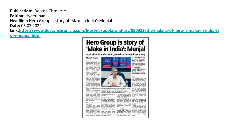# **Publication:** Deccan Chronicle **Edition:** Hyderabad **Headline:** Hero Group Is story of 'Make in India': Munjal **Date:** 05.03.2022

**Link:[https://www.deccanchronicle.com/lifestyle/books-and-art/050322/the-making-of-hero-is-make-in-india-st](https://www.deccanchronicle.com/lifestyle/books-and-art/050322/the-making-of-hero-is-make-in-india-story-munjal.html) [ory-munjal.html](https://www.deccanchronicle.com/lifestyle/books-and-art/050322/the-making-of-hero-is-make-in-india-story-munjal.html)**

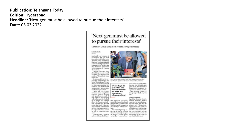# **Publication: Telangana Today Edition: Hyderabad** Headline: 'Next-gen must be allowed to pursue their interests' Date: 05.03.2022

# 'Next-gen must be allowed to pursue their interests'

and refined, thus

making it more

Sunil Kant Munjal talks about running family businesses

**CITY BUREAU Marine Brad** 

> In a family-run business, it is assumed that the next generation will take over. However, Hero Enterprises chairman Sunil Kant Munial has a different perspective towards this as he believes. that the newer generation must not be forced towards the business. "On the contrary, they

should be given a free hand to pursue their interests and passions," Munjal said at an event here. Speaking at ISB on the oc-

casion of the launch of his book 'The Making of Hero'. Munial said that we should try and stop controlling the future of our children and grandchildren because they will be living their truth. "What we live is our truth and it was completely

different from our parents. and grandparents and if they saw what we are doing today, they may be thrilled or be aghast. We have to tals, executive vice-chairallow the future to play it- man, Shobhana Kamineni lives through our children of running a family busibecause they are much bet- ness. ter exposed than we were." he said to a packed audience.

Here Enterprises chairman Sanif Kant Musial signing his book "The Making of Hore" at the launch in Hydenabad on Friday.

imohan Lall Munial once gave back the small-scale business licence issued for now been improvised cycle as he did not want it. These were the values that the group is built on," he staid efficient, says Munjal

#### **Electric Vehicle**

Speaking about the electric vehicle industry, Munjal said that the auto industry self out and also try and along with ISB Dean Madan has to make the shift to avoid vicariously living our Pillutia on different aspects cleaner fuel. "The technology of EV is 100 years old and it has now been impro-The topmost priority, acvised and refined, thus makcording to Munial, in Hero ing it more efficient. The in-Group's business Journey so dustry needs to have more He was having a conver- far, has been that the family open mind so as to get dissation with Apollo Hospi- values have become busi- ruption," he informed.



ness values. "My father Bri-EV technology is 100 years old and it has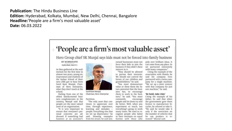**Publication: The Hindu Business Line** Edition: Hyderabad, Kolkata, Mumbai, New Delhi, Chennai, Bangalore Headline: 'People are a firm's most valuable asset' Date: 06.03.2022

# $+$  'People are a firm's most valuable asset'

Hero Group chief SK Munjal says kids must not be forced into family business

#### **KV KURMANATH**

Hyderabad, March S

As they gathered at the auditorium for the first time in almost two years, young entrepreneurs and students of the Indian School of Business (ISB) got to hear from Sunil Kant Munjal, Chairman of Hero Enterprise, what they don't teach at the school.

Hailing from one of the oldest family-owned business conglomerates in the country, Munjal said that people are the most valued asset of an organisation.

"It is very important to ensure that everyone's personal concerns are addressed. If something bad hannens at an associate's



Sunil Kant Munial. Chairman, Hero Enterprise

#### Partition.

"The only asset that continues to appreciate over time, through experience, learning and mistakes people. Everything else that we set up depreciates," he said. Drawing examples from his group, he said gen-

owned businesses must not force their kids to join the business if they didn't show interest in it.

"They should be allowed to pursue their interests. We should not control the future of our children and grandchildren," he said. "You must demonstrate

value or show them the future potential that the business has, to encourage them to work in the business," he said. "You must constantly encourage people and let them try and do better. Well, when you experiment so much, not everything's going to work many times. We used to recognise people who failed

in their attempts on equal

footing with those who

poly over brilliant ideas. It can come from any place. So we partnered extensively with many companies."

Citing the example of the association with Honda, he said his company even partnered with a Swiss company for a single machine. "We set up a joint venture with that company for just one machine," he said.

#### 'Be bold, take risks'

Citing the example of his father, he said that when the government gave them licence to manufacture bicycles, he refused to take it. "He said he would take it only if the restriction on the number of vehicles that he can produce is removed." Munial said.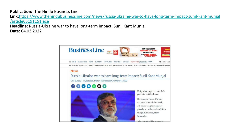**Publication:** The Hindu Business Line **Link:**[https://www.thehindubusinessline.com/news/russia-ukraine-war-to-have-long-term-impact-sunil-kant-munjal](https://www.thehindubusinessline.com/news/russia-ukraine-war-to-have-long-term-impact-sunil-kant-munjal/article65191151.ece) [/article65191151.ece](https://www.thehindubusinessline.com/news/russia-ukraine-war-to-have-long-term-impact-sunil-kant-munjal/article65191151.ece)

**Headline:** Russia-Ukraine war to have long-term impact: Sunil Kant Munjal **Date:** 04.03.2022

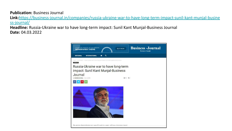# **Publication:** Business Journal

**Link:**[https://business-journal.in/companies/russia-ukraine-war-to-have-long-term-impact-sunil-kant-munjal-busine](https://business-journal.in/companies/russia-ukraine-war-to-have-long-term-impact-sunil-kant-munjal-business-journal/) [ss-journal/](https://business-journal.in/companies/russia-ukraine-war-to-have-long-term-impact-sunil-kant-munjal-business-journal/)

**Headline:** Russia-Ukraine war to have long-term impact: Sunil Kant Munjal-Business Journal **Date:** 04.03.2022

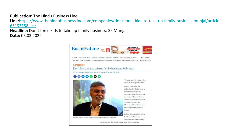**Publication:** The Hindu Business Line

**Link:**[https://www.thehindubusinessline.com/companies/dont-force-kids-to-take-up-family-business-munjal/article](https://www.thehindubusinessline.com/companies/dont-force-kids-to-take-up-family-business-munjal/article65193158.ece) [65193158.ece](https://www.thehindubusinessline.com/companies/dont-force-kids-to-take-up-family-business-munjal/article65193158.ece)

**Headline:** Don't force kids to take up family business: SK Munjal **Date:** 05.03.2022

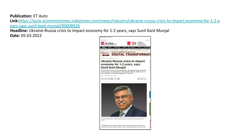**Publication:** ET Auto

**Link:**[https://auto.economictimes.indiatimes.com/news/industry/ukraine-russia-crisis-to-impact-economy-for-1-2-y](https://auto.economictimes.indiatimes.com/news/industry/ukraine-russia-crisis-to-impact-economy-for-1-2-years-says-sunil-kant-munjal/90008926) [ears-says-sunil-kant-munjal/90008926](https://auto.economictimes.indiatimes.com/news/industry/ukraine-russia-crisis-to-impact-economy-for-1-2-years-says-sunil-kant-munjal/90008926)

**Headline:** Ukraine-Russia crisis to impact economy for 1-2 years, says Sunil Kant Munjal **Date:** 05.03.2022

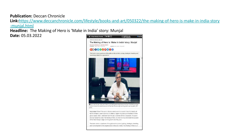# **Publication:** Deccan Chronicle

**Link:**[https://www.deccanchronicle.com/lifestyle/books-and-art/050322/the-making-of-hero-is-make-in-india-story](https://www.deccanchronicle.com/lifestyle/books-and-art/050322/the-making-of-hero-is-make-in-india-story-munjal.html) [-munjal.html](https://www.deccanchronicle.com/lifestyle/books-and-art/050322/the-making-of-hero-is-make-in-india-story-munjal.html)

**Headline:** The Making of Hero is 'Make in India' story: Munjal **Date:** 05.03.2022



The book covers a spectrum of thoughts on the product, pricing, strategies, branding and marketing behind the organisation. In Munjal's words, The Making of Hero is an

of the Here Group's origin and its growth over the years.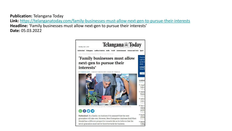**Publication:** Telangana Today **Link:** <https://telanganatoday.com/family-businesses-must-allow-next-gen-to-pursue-their-interests> **Headline:** 'Family businesses must allow next-gen to pursue their interests' **Date:** 05.03.2022

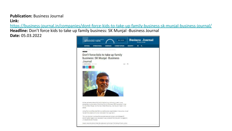### **Publication:** Business Journal **Link:**

<https://business-journal.in/companies/dont-force-kids-to-take-up-family-business-sk-munjal-business-journal/>

**Headline:** Don't force kids to take up family business: SK Munjal -Business Journal **Date:** 05.03.2022

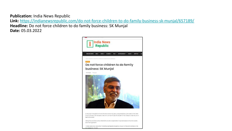**Publication:** India News Republic

**Link:** <https://indianewsrepublic.com/do-not-force-children-to-do-family-business-sk-munjal/657189/> **Headline:** Do not force children to do family business: SK Munjal **Date:** 05.03.2022

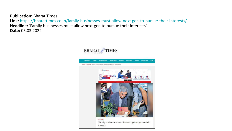**Publication:** Bharat Times **Link:** <https://bharattimes.co.in/family-businesses-must-allow-next-gen-to-pursue-their-interests/> **Headline:** 'Family businesses must allow next-gen to pursue their interests' **Date:** 05.03.2022